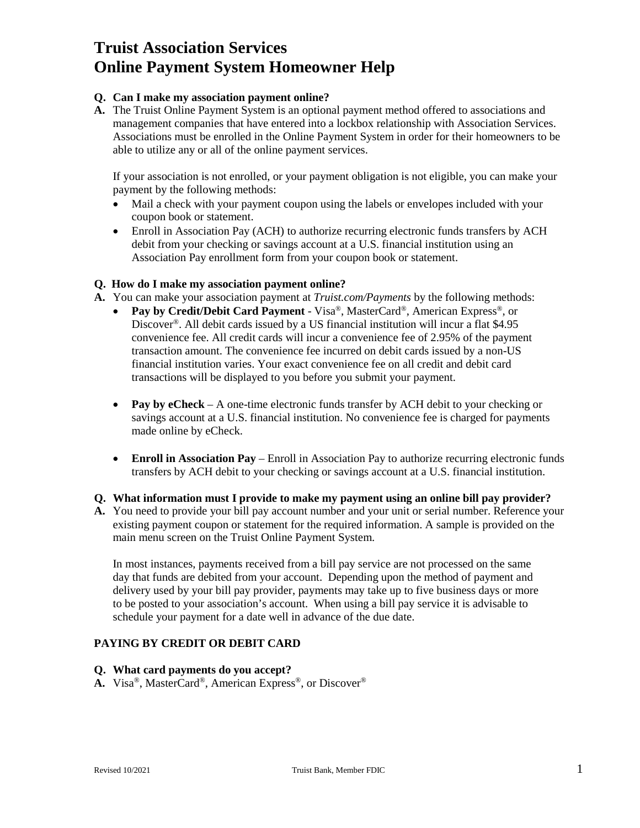# **Truist Association Services Online Payment System Homeowner Help**

## **Q. Can I make my association payment online?**

**A.** The Truist Online Payment System is an optional payment method offered to associations and management companies that have entered into a lockbox relationship with Association Services. Associations must be enrolled in the Online Payment System in order for their homeowners to be able to utilize any or all of the online payment services.

If your association is not enrolled, or your payment obligation is not eligible, you can make your payment by the following methods:

- Mail a check with your payment coupon using the labels or envelopes included with your coupon book or statement.
- Enroll in Association Pay (ACH) to authorize recurring electronic funds transfers by ACH debit from your checking or savings account at a U.S. financial institution using an Association Pay enrollment form from your coupon book or statement.

## **Q. How do I make my association payment online?**

**A.** You can make your association payment at *Truist.com/Payments* by the following methods:

- **Pay by Credit/Debit Card Payment** Visa®, MasterCard®, American Express®, or Discover®. All debit cards issued by a US financial institution will incur a flat \$4.95 convenience fee. All credit cards will incur a convenience fee of 2.95% of the payment transaction amount. The convenience fee incurred on debit cards issued by a non-US financial institution varies. Your exact convenience fee on all credit and debit card transactions will be displayed to you before you submit your payment.
- **Pay by eCheck** A one-time electronic funds transfer by ACH debit to your checking or savings account at a U.S. financial institution. No convenience fee is charged for payments made online by eCheck.
- **Enroll in Association Pay** Enroll in Association Pay to authorize recurring electronic funds transfers by ACH debit to your checking or savings account at a U.S. financial institution.

## **Q. What information must I provide to make my payment using an online bill pay provider?**

**A.** You need to provide your bill pay account number and your unit or serial number. Reference your existing payment coupon or statement for the required information. A sample is provided on the main menu screen on the Truist Online Payment System.

In most instances, payments received from a bill pay service are not processed on the same day that funds are debited from your account. Depending upon the method of payment and delivery used by your bill pay provider, payments may take up to five business days or more to be posted to your association's account. When using a bill pay service it is advisable to schedule your payment for a date well in advance of the due date.

# **PAYING BY CREDIT OR DEBIT CARD**

- **Q. What card payments do you accept?**
- **A.** Visa®, MasterCard®, American Express®, or Discover®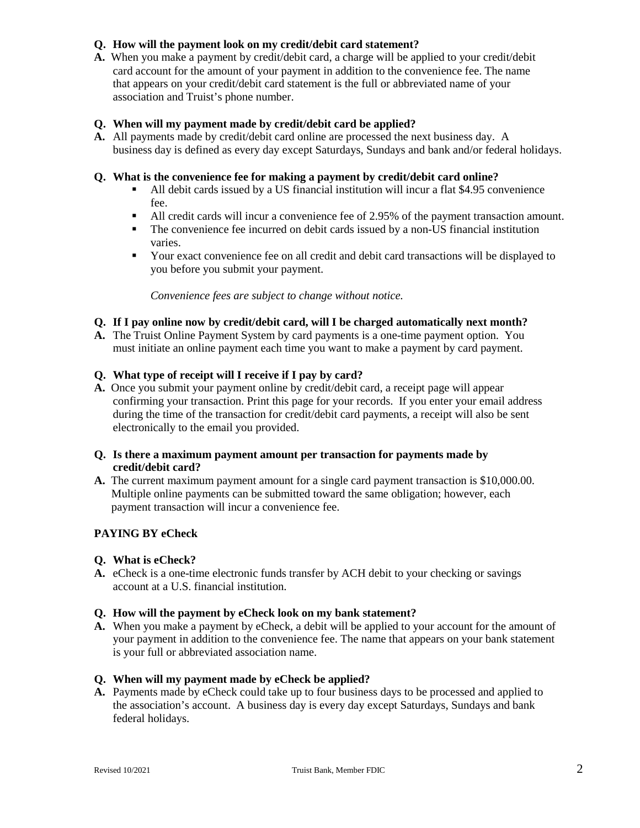# **Q. How will the payment look on my credit/debit card statement?**

**A.** When you make a payment by credit/debit card, a charge will be applied to your credit/debit card account for the amount of your payment in addition to the convenience fee. The name that appears on your credit/debit card statement is the full or abbreviated name of your association and Truist's phone number.

# **Q. When will my payment made by credit/debit card be applied?**

**A.** All payments made by credit/debit card online are processed the next business day. A business day is defined as every day except Saturdays, Sundays and bank and/or federal holidays.

## **Q. What is the convenience fee for making a payment by credit/debit card online?**

- All debit cards issued by a US financial institution will incur a flat \$4.95 convenience fee.
- All credit cards will incur a convenience fee of 2.95% of the payment transaction amount.
- The convenience fee incurred on debit cards issued by a non-US financial institution varies.
- Your exact convenience fee on all credit and debit card transactions will be displayed to you before you submit your payment.

*Convenience fees are subject to change without notice.* 

# **Q. If I pay online now by credit/debit card, will I be charged automatically next month?**

**A.** The Truist Online Payment System by card payments is a one-time payment option. You must initiate an online payment each time you want to make a payment by card payment.

# **Q. What type of receipt will I receive if I pay by card?**

**A.** Once you submit your payment online by credit/debit card, a receipt page will appear confirming your transaction. Print this page for your records. If you enter your email address during the time of the transaction for credit/debit card payments, a receipt will also be sent electronically to the email you provided.

## **Q. Is there a maximum payment amount per transaction for payments made by credit/debit card?**

**A.** The current maximum payment amount for a single card payment transaction is \$10,000.00. Multiple online payments can be submitted toward the same obligation; however, each payment transaction will incur a convenience fee.

# **PAYING BY eCheck**

## **Q. What is eCheck?**

**A.** eCheck is a one-time electronic funds transfer by ACH debit to your checking or savings account at a U.S. financial institution.

## **Q. How will the payment by eCheck look on my bank statement?**

**A.** When you make a payment by eCheck, a debit will be applied to your account for the amount of your payment in addition to the convenience fee. The name that appears on your bank statement is your full or abbreviated association name.

## **Q. When will my payment made by eCheck be applied?**

**A.** Payments made by eCheck could take up to four business days to be processed and applied to the association's account. A business day is every day except Saturdays, Sundays and bank federal holidays.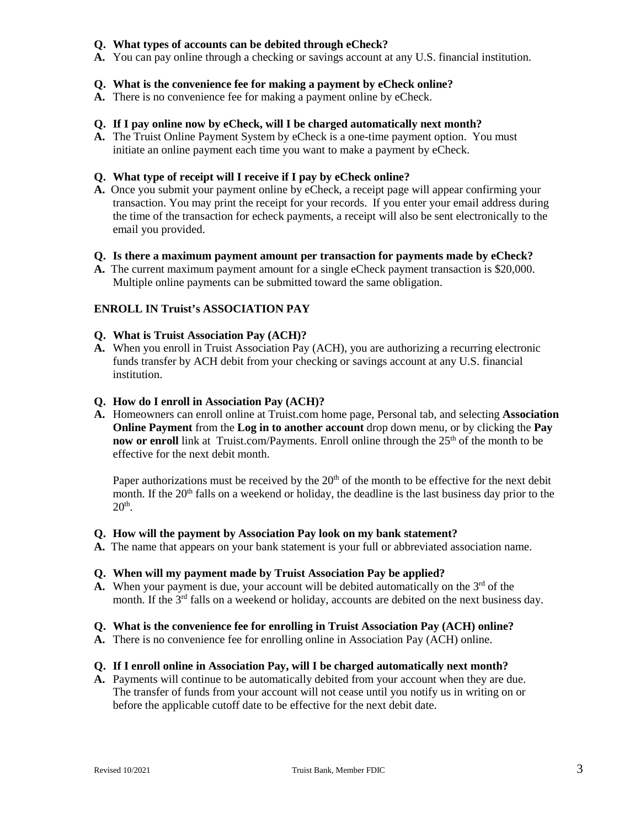## **Q. What types of accounts can be debited through eCheck?**

**A.** You can pay online through a checking or savings account at any U.S. financial institution.

## **Q. What is the convenience fee for making a payment by eCheck online?**

**A.** There is no convenience fee for making a payment online by eCheck.

#### **Q. If I pay online now by eCheck, will I be charged automatically next month?**

**A.** The Truist Online Payment System by eCheck is a one-time payment option. You must initiate an online payment each time you want to make a payment by eCheck.

#### **Q. What type of receipt will I receive if I pay by eCheck online?**

**A.** Once you submit your payment online by eCheck, a receipt page will appear confirming your transaction. You may print the receipt for your records. If you enter your email address during the time of the transaction for echeck payments, a receipt will also be sent electronically to the email you provided.

#### **Q. Is there a maximum payment amount per transaction for payments made by eCheck?**

**A.** The current maximum payment amount for a single eCheck payment transaction is \$20,000. Multiple online payments can be submitted toward the same obligation.

## **ENROLL IN Truist's ASSOCIATION PAY**

#### **Q. What is Truist Association Pay (ACH)?**

**A.** When you enroll in Truist Association Pay (ACH), you are authorizing a recurring electronic funds transfer by ACH debit from your checking or savings account at any U.S. financial institution.

#### **Q. How do I enroll in Association Pay (ACH)?**

**A.** Homeowners can enroll online at Truist.com home page, Personal tab, and selecting **Association Online Payment** from the **Log in to another account** drop down menu, or by clicking the **Pay now or enroll** link at Truist.com/Payments. Enroll online through the 25<sup>th</sup> of the month to be effective for the next debit month.

Paper authorizations must be received by the  $20<sup>th</sup>$  of the month to be effective for the next debit month. If the  $20<sup>th</sup>$  falls on a weekend or holiday, the deadline is the last business day prior to the  $20<sup>th</sup>$ .

#### **Q. How will the payment by Association Pay look on my bank statement?**

**A.** The name that appears on your bank statement is your full or abbreviated association name.

#### **Q. When will my payment made by Truist Association Pay be applied?**

**A.** When your payment is due, your account will be debited automatically on the  $3<sup>rd</sup>$  of the month. If the  $3<sup>rd</sup>$  falls on a weekend or holiday, accounts are debited on the next business day.

#### **Q. What is the convenience fee for enrolling in Truist Association Pay (ACH) online?**

**A.** There is no convenience fee for enrolling online in Association Pay (ACH) online.

#### **Q. If I enroll online in Association Pay, will I be charged automatically next month?**

**A.** Payments will continue to be automatically debited from your account when they are due. The transfer of funds from your account will not cease until you notify us in writing on or before the applicable cutoff date to be effective for the next debit date.